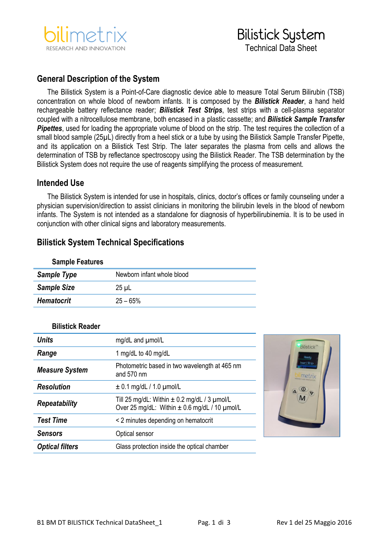

# Bilistick System Technical Data Sheet

### **General Description of the System**

The Bilistick System is a Point-of-Care diagnostic device able to measure Total Serum Bilirubin (TSB) concentration on whole blood of newborn infants. It is composed by the *Bilistick Reader*, a hand held rechargeable battery reflectance reader; *Bilistick Test Strips*, test strips with a cell-plasma separator coupled with a nitrocellulose membrane, both encased in a plastic cassette; and *Bilistick Sample Transfer*  **Pipettes**, used for loading the appropriate volume of blood on the strip. The test requires the collection of a small blood sample (25µL) directly from a heel stick or a tube by using the Bilistick Sample Transfer Pipette, and its application on a Bilistick Test Strip. The later separates the plasma from cells and allows the determination of TSB by reflectance spectroscopy using the Bilistick Reader. The TSB determination by the Bilistick System does not require the use of reagents simplifying the process of measurement.

### **Intended Use**

The Bilistick System is intended for use in hospitals, clinics, doctor's offices or family counseling under a physician supervision/direction to assist clinicians in monitoring the bilirubin levels in the blood of newborn infants. The System is not intended as a standalone for diagnosis of hyperbilirubinemia. It is to be used in conjunction with other clinical signs and laboratory measurements.

### **Bilistick System Technical Specifications**

| Newborn infant whole blood |
|----------------------------|
|                            |
|                            |
|                            |

#### **Bilistick Reader**

**Sample Features**

| <b>Units</b>           | mg/dL and umol/L                                                                                       |
|------------------------|--------------------------------------------------------------------------------------------------------|
| Range                  | 1 mg/dL to 40 mg/dL                                                                                    |
| <b>Measure System</b>  | Photometric based in two wavelength at 465 nm<br>and $570 \text{ nm}$                                  |
| <b>Resolution</b>      | $\pm$ 0.1 mg/dL / 1.0 $\mu$ mol/L                                                                      |
| <b>Repeatability</b>   | Till 25 mg/dL: Within $\pm$ 0.2 mg/dL / 3 $\mu$ mol/L<br>Over 25 mg/dL: Within ± 0.6 mg/dL / 10 µmol/L |
| <b>Test Time</b>       | < 2 minutes depending on hematocrit                                                                    |
| <b>Sensors</b>         | Optical sensor                                                                                         |
| <b>Optical filters</b> | Glass protection inside the optical chamber                                                            |

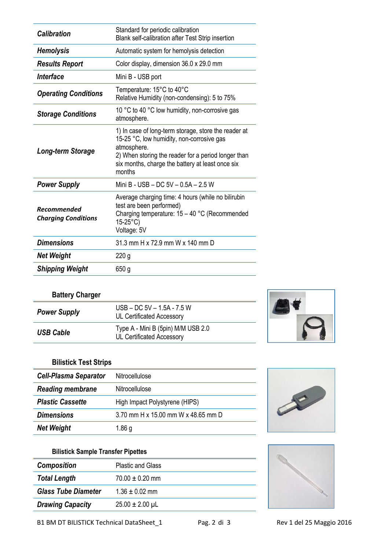| <b>Calibration</b>                               | Standard for periodic calibration<br>Blank self-calibration after Test Strip insertion                                                                                                                                                |
|--------------------------------------------------|---------------------------------------------------------------------------------------------------------------------------------------------------------------------------------------------------------------------------------------|
| <b>Hemolysis</b>                                 | Automatic system for hemolysis detection                                                                                                                                                                                              |
| <b>Results Report</b>                            | Color display, dimension 36.0 x 29.0 mm                                                                                                                                                                                               |
| Interface                                        | Mini B - USB port                                                                                                                                                                                                                     |
| <b>Operating Conditions</b>                      | Temperature: 15°C to 40°C<br>Relative Humidity (non-condensing): 5 to 75%                                                                                                                                                             |
| <b>Storage Conditions</b>                        | 10 °C to 40 °C low humidity, non-corrosive gas<br>atmosphere.                                                                                                                                                                         |
| Long-term Storage                                | 1) In case of long-term storage, store the reader at<br>15-25 °C, low humidity, non-corrosive gas<br>atmosphere.<br>2) When storing the reader for a period longer than<br>six months, charge the battery at least once six<br>months |
| <b>Power Supply</b>                              | Mini B - USB - DC 5V - 0.5A - 2.5 W                                                                                                                                                                                                   |
| <b>Recommended</b><br><b>Charging Conditions</b> | Average charging time: 4 hours (while no bilirubin<br>test are been performed)<br>Charging temperature: $15 - 40$ °C (Recommended<br>$15 - 25^{\circ}C$<br>Voltage: 5V                                                                |
| <b>Dimensions</b>                                | 31.3 mm H x 72.9 mm W x 140 mm D                                                                                                                                                                                                      |
| <b>Net Weight</b>                                | 220 <sub>g</sub>                                                                                                                                                                                                                      |
| <b>Shipping Weight</b>                           | 650 g                                                                                                                                                                                                                                 |

# **Battery Charger**

| <b>Power Supply</b> | $USB - DC 5V - 1.5A - 7.5 W$<br><b>UL Certificated Accessory</b>       |  |
|---------------------|------------------------------------------------------------------------|--|
| <b>USB Cable</b>    | Type A - Mini B (5pin) M/M USB 2.0<br><b>UL Certificated Accessory</b> |  |

# **Bilistick Test Strips**

| <b>Cell-Plasma Separator</b> | Nitrocellulose                      |
|------------------------------|-------------------------------------|
| <b>Reading membrane</b>      | Nitrocellulose                      |
| <b>Plastic Cassette</b>      | High Impact Polystyrene (HIPS)      |
| <b>Dimensions</b>            | 3.70 mm H x 15.00 mm W x 48.65 mm D |
| <b>Net Weight</b>            | 1.86 g                              |



## **Bilistick Sample Transfer Pipettes**

| <b>Composition</b>         | <b>Plastic and Glass</b> |
|----------------------------|--------------------------|
| <b>Total Length</b>        | $70.00 \pm 0.20$ mm      |
| <b>Glass Tube Diameter</b> | $1.36 \pm 0.02$ mm       |
| <b>Drawing Capacity</b>    | $25.00 \pm 2.00 \,\mu L$ |
|                            |                          |